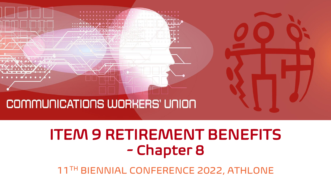

## ITEM 9 RETIREMENT BENEFITS - Chapter 8

11TH BIENNIAL CONFERENCE 2022, ATHLONE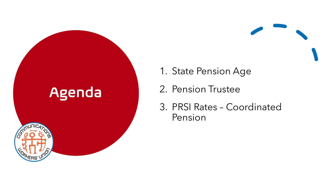## Agenda



- 1. State Pension Age
- 2. Pension Trustee
- 3. PRSI Rates Coordinated Pension

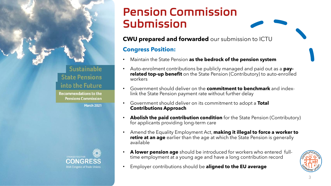### Pension Commission Submission

#### **CWU prepared and forwarded** our submission to ICTU

#### **Congress Position:**

- Maintain the State Pension **as the bedrock of the pension system**
- Auto-enrolment contributions be publicly managed and paid out as a **payrelated top-up benefit** on the State Pension (Contributory) to auto-enrolled workers
- Government should deliver on the **commitment to benchmark** and indexlink the State Pension payment rate without further delay
- Government should deliver on its commitment to adopt a **Total Contributions Approach**
- **Abolish the paid contribution condition** for the State Pension (Contributory) for applicants providing long-term care
- Amend the Equality Employment Act, **making it illegal to force a worker to retire at an age** earlier than the age at which the State Pension is generally available
- **A lower pension age** should be introduced for workers who entered fulltime employment at a young age and have a long contribution record
- Employer contributions should be **aligned to the EU average**



**Sustainable State Pensions** into the Future **Recommendations to the Pensions Commission** 

**March 2021** 

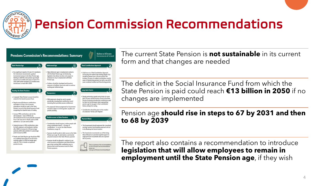

### Pension Commission Recommendations



The current State Pension is **not sustainable** in its current form and that changes are needed

The deficit in the Social Insurance Fund from which the State Pension is paid could reach **€13 billion in 2050** if no changes are implemented

### Pension age **should rise in steps to 67 by 2031 and then to 68 by 2039**

The report also contains a recommendation to introduce **legislation that will allow employees to remain in employment until the State Pension age**, if they wish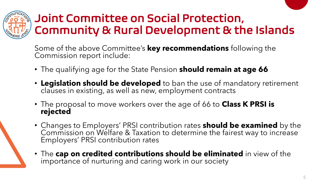

### Joint Committee on Social Protection, Community & Rural Development & the Islands

Some of the above Committee's **key recommendations** following the Commission report include:

- The qualifying age for the State Pension **should remain at age 66**
- **Legislation should be developed** to ban the use of mandatory retirement clauses in existing, as well as new, employment contracts
- The proposal to move workers over the age of 66 to **Class K PRSI is rejected**
- Changes to Employers' PRSI contribution rates **should be examined** by the Commission on Welfare & Taxation to determine the fairest way to increase Employers' PRSI contribution rates
- The **cap on credited contributions should be eliminated** in view of the importance of nurturing and caring work in our society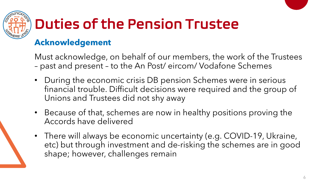

# Duties of the Pension Trustee

### **Acknowledgement**

Must acknowledge, on behalf of our members, the work of the Trustees – past and present – to the An Post/ eircom/ Vodafone Schemes

- During the economic crisis DB pension Schemes were in serious financial trouble. Difficult decisions were required and the group of Unions and Trustees did not shy away
- Because of that, schemes are now in healthy positions proving the Accords have delivered
- There will always be economic uncertainty (e.g. COVID-19, Ukraine, etc) but through investment and de-risking the schemes are in good shape; however, challenges remain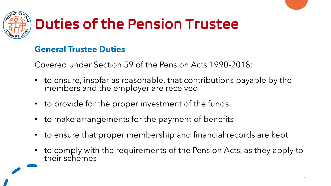

# Duties of the Pension Trustee

### **General Trustee Duties**

Covered under Section 59 of the Pension Acts 1990-2018:

- to ensure, insofar as reasonable, that contributions payable by the members and the employer are received
- to provide for the proper investment of the funds
- to make arrangements for the payment of benefits
- to ensure that proper membership and financial records are kept
- to comply with the requirements of the Pension Acts, as they apply to their schemes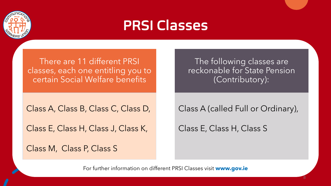

### PRSI Classes

There are 11 different PRSI classes, each one entitling you to certain Social Welfare benefits

Class A, Class B, Class C, Class D,

Class E, Class H, Class J, Class K,

Class M, Class P, Class S

The following classes are reckonable for State Pension (Contributory):

Class A (called Full or Ordinary),

8

Class E, Class H, Class S

For further information on different PRSI Classes visit **www.gov.ie**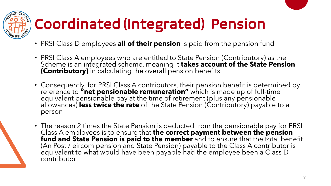

# Coordinated (Integrated) Pension

- PRSI Class D employees **all of their pension** is paid from the pension fund
- PRSI Class A employees who are entitled to State Pension (Contributory) as the Scheme is an integrated scheme, meaning it **takes account of the State Pension (Contributory)** in calculating the overall pension benefits
- Consequently, for PRSI Class A contributors, their pension benefit is determined by reference to **"net pensionable remuneration"** which is made up of full-time equivalent pensionable pay at the time of retirement (plus any pensionable allowances) **less twice the rate** of the State Pension (Contributory) payable to a person
- The reason 2 times the State Pension is deducted from the pensionable pay for PRSI Class A employees is to ensure that **the correct payment between the pension fund and State Pension is paid to the member** and to ensure that the total benefit (An Post / eircom pension and State Pension) payable to the Class A contributor is equivalent to what would have been payable had the employee been a Class D contributor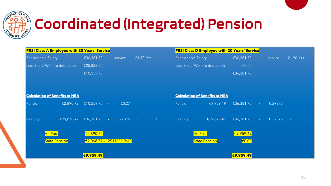

## Coordinated (Integrated) Pension

| <b>PRSI Class A Employee with 20 Years' Service</b> |                                      |         |              |                | <b>PRSI Class D Employee with 20 Years' Service</b> |                               |                 |              |         |                   |
|-----------------------------------------------------|--------------------------------------|---------|--------------|----------------|-----------------------------------------------------|-------------------------------|-----------------|--------------|---------|-------------------|
| Pensionable Salary                                  | €36,381.70                           | service | 21.90 Yrs    |                | Pensionable Salary                                  |                               | €36,381.70      |              | service | 21.90 Yrs         |
| Less Social Welfare deduction                       | €25,822.00                           |         |              |                |                                                     | Less Social Welfare deduction | €0.00           |              |         |                   |
|                                                     | €10,559.70                           |         |              |                |                                                     |                               | €36,381.70      |              |         |                   |
|                                                     |                                      |         |              |                |                                                     |                               |                 |              |         |                   |
|                                                     |                                      |         |              |                |                                                     |                               |                 |              |         |                   |
| <b>Calculation of Benefits at NRA</b>               |                                      |         |              |                | <b>Calculation of Benefits at NRA</b>               |                               |                 |              |         |                   |
| €2,890.72<br>Pension:                               | €10,559.70 $\times$                  | €0.27   |              |                | Pension:                                            | €9,959.49                     | €36,381.70      | $\mathsf{X}$ | 0.27375 |                   |
|                                                     |                                      |         |              |                |                                                     |                               |                 |              |         |                   |
| Gratuity:<br>$E$ £29,878.47                         | €36,381.70 $\times$                  | 0.27375 | $\mathbf{X}$ | $\overline{3}$ | Gratuity:                                           | $E$ £29,878.47                | €36,381.70      | $\mathsf{X}$ | 0.27375 | 3<br>$\mathsf{X}$ |
|                                                     |                                      |         |              |                |                                                     |                               |                 |              |         |                   |
| <b>An Post</b>                                      | $E$ <sub>2,890.72</sub>              |         |              |                |                                                     | An Post                       | €9,959.49       |              |         |                   |
| <b>State Pension</b>                                | $\frac{\in 7,068.77}{12911*21.9/40}$ |         |              |                |                                                     | <b>State Pension</b>          | $\epsilon$ 0.00 |              |         |                   |
|                                                     |                                      |         |              |                |                                                     |                               |                 |              |         |                   |
|                                                     | €9,959.49                            |         |              |                |                                                     |                               | €9,959.49       |              |         |                   |